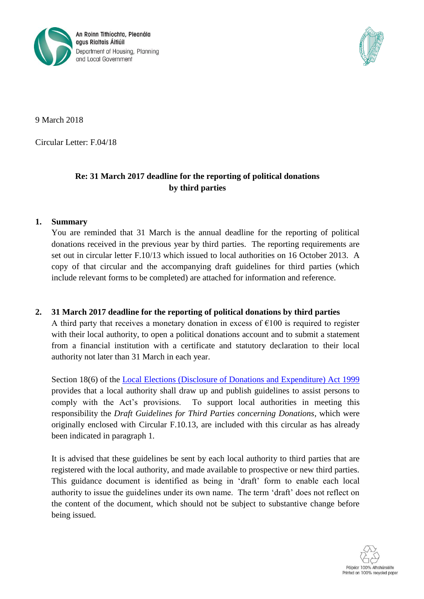



9 March 2018

Circular Letter: F.04/18

## **Re: 31 March 2017 deadline for the reporting of political donations by third parties**

## **1. Summary**

You are reminded that 31 March is the annual deadline for the reporting of political donations received in the previous year by third parties. The reporting requirements are set out in circular letter F.10/13 which issued to local authorities on 16 October 2013. A copy of that circular and the accompanying draft guidelines for third parties (which include relevant forms to be completed) are attached for information and reference.

## **2. 31 March 2017 deadline for the reporting of political donations by third parties**

A third party that receives a monetary donation in excess of  $\epsilon$ 100 is required to register with their local authority, to open a political donations account and to submit a statement from a financial institution with a certificate and statutory declaration to their local authority not later than 31 March in each year.

Section 18(6) of the [Local Elections \(Disclosure of Donations and Expenditure\) Act 1999](http://www.irishstatutebook.ie/eli/1999/act/7/enacted/en/pdf) provides that a local authority shall draw up and publish guidelines to assist persons to comply with the Act's provisions. To support local authorities in meeting this responsibility the *Draft Guidelines for Third Parties concerning Donations*, which were originally enclosed with Circular F.10.13, are included with this circular as has already been indicated in paragraph 1.

It is advised that these guidelines be sent by each local authority to third parties that are registered with the local authority, and made available to prospective or new third parties. This guidance document is identified as being in 'draft' form to enable each local authority to issue the guidelines under its own name. The term 'draft' does not reflect on the content of the document, which should not be subject to substantive change before being issued.